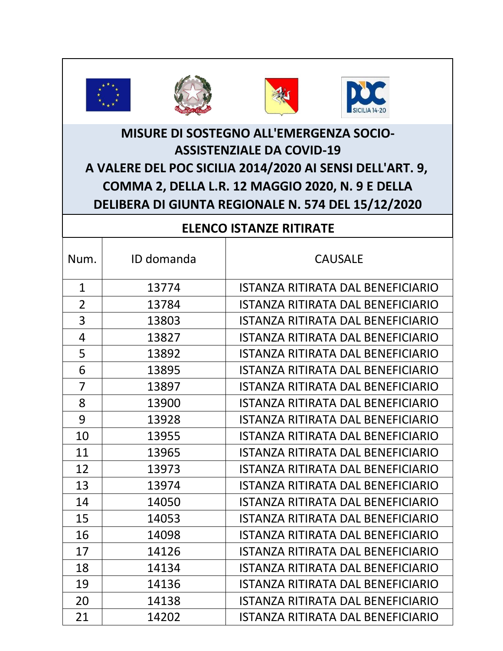







## **MISURE DI SOSTEGNO ALL'EMERGENZA SOCIO-ASSISTENZIALE DA COVID-19 A VALERE DEL POC SICILIA 2014/2020 AI SENSI DELL'ART. 9, COMMA 2, DELLA L.R. 12 MAGGIO 2020, N. 9 E DELLA DELIBERA DI GIUNTA REGIONALE N. 574 DEL 15/12/2020**

## **ELENCO ISTANZE RITIRATE**

| Num.           | ID domanda | <b>CAUSALE</b>                           |
|----------------|------------|------------------------------------------|
| $\mathbf{1}$   | 13774      | <b>ISTANZA RITIRATA DAL BENEFICIARIO</b> |
| $\overline{2}$ | 13784      | <b>ISTANZA RITIRATA DAL BENEFICIARIO</b> |
| 3              | 13803      | <b>ISTANZA RITIRATA DAL BENEFICIARIO</b> |
| 4              | 13827      | <b>ISTANZA RITIRATA DAL BENEFICIARIO</b> |
| 5              | 13892      | <b>ISTANZA RITIRATA DAL BENEFICIARIO</b> |
| 6              | 13895      | <b>ISTANZA RITIRATA DAL BENEFICIARIO</b> |
| 7              | 13897      | <b>ISTANZA RITIRATA DAL BENEFICIARIO</b> |
| 8              | 13900      | <b>ISTANZA RITIRATA DAL BENEFICIARIO</b> |
| 9              | 13928      | <b>ISTANZA RITIRATA DAL BENEFICIARIO</b> |
| 10             | 13955      | <b>ISTANZA RITIRATA DAL BENEFICIARIO</b> |
| 11             | 13965      | <b>ISTANZA RITIRATA DAL BENEFICIARIO</b> |
| 12             | 13973      | <b>ISTANZA RITIRATA DAL BENEFICIARIO</b> |
| 13             | 13974      | <b>ISTANZA RITIRATA DAL BENEFICIARIO</b> |
| 14             | 14050      | <b>ISTANZA RITIRATA DAL BENEFICIARIO</b> |
| 15             | 14053      | <b>ISTANZA RITIRATA DAL BENEFICIARIO</b> |
| 16             | 14098      | <b>ISTANZA RITIRATA DAL BENEFICIARIO</b> |
| 17             | 14126      | <b>ISTANZA RITIRATA DAL BENEFICIARIO</b> |
| 18             | 14134      | <b>ISTANZA RITIRATA DAL BENEFICIARIO</b> |
| 19             | 14136      | <b>ISTANZA RITIRATA DAL BENEFICIARIO</b> |
| 20             | 14138      | <b>ISTANZA RITIRATA DAL BENEFICIARIO</b> |
| 21             | 14202      | <b>ISTANZA RITIRATA DAL BENEFICIARIO</b> |